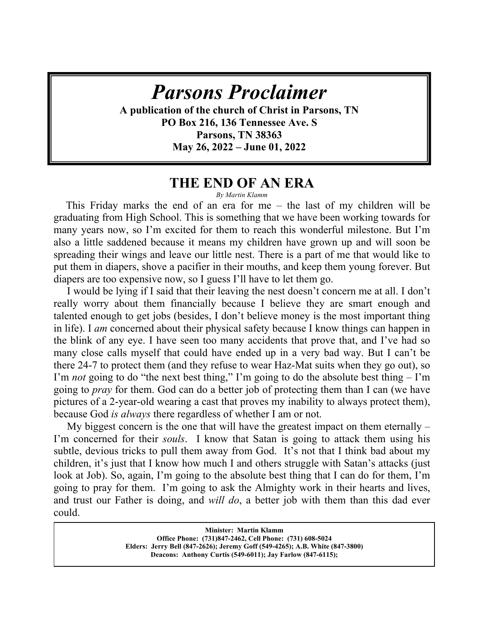# **HAVE YOU SEEN** *GOD? Parsons Proclaimer*

A publication of the church of Christ in Parsons, TN **PO Box 216, 136 Tennessee Ave. S Parsons, TN 38363 May 26, 2022 – June 01, 2022** 

## **THE END OF AN ERA**

#### *By Martin Klamm*

 This Friday marks the end of an era for me – the last of my children will be graduating from High School. This is something that we have been working towards for many years now, so I'm excited for them to reach this wonderful milestone. But I'm also a little saddened because it means my children have grown up and will soon be spreading their wings and leave our little nest. There is a part of me that would like to put them in diapers, shove a pacifier in their mouths, and keep them young forever. But diapers are too expensive now, so I guess I'll have to let them go.

 I would be lying if I said that their leaving the nest doesn't concern me at all. I don't really worry about them financially because I believe they are smart enough and talented enough to get jobs (besides, I don't believe money is the most important thing in life). I *am* concerned about their physical safety because I know things can happen in the blink of any eye. I have seen too many accidents that prove that, and I've had so many close calls myself that could have ended up in a very bad way. But I can't be there 24-7 to protect them (and they refuse to wear Haz-Mat suits when they go out), so I'm *not* going to do "the next best thing," I'm going to do the absolute best thing – I'm going to *pray* for them. God can do a better job of protecting them than I can (we have pictures of a 2-year-old wearing a cast that proves my inability to always protect them), because God *is always* there regardless of whether I am or not.

 My biggest concern is the one that will have the greatest impact on them eternally – I'm concerned for their *souls*. I know that Satan is going to attack them using his subtle, devious tricks to pull them away from God. It's not that I think bad about my children, it's just that I know how much I and others struggle with Satan's attacks (just look at Job). So, again, I'm going to the absolute best thing that I can do for them, I'm going to pray for them. I'm going to ask the Almighty work in their hearts and lives, and trust our Father is doing, and *will do*, a better job with them than this dad ever could.

> **Minister: Martin Klamm Office Phone: (731)847-2462, Cell Phone: (731) 608-5024 Elders: Jerry Bell (847-2626); Jeremy Goff (549-4265); A.B. White (847-3800) Deacons: Anthony Curtis (549-6011); Jay Farlow (847-6115);**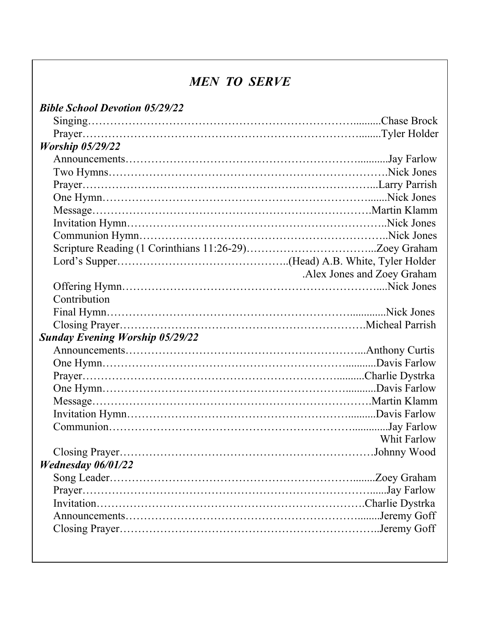# *MEN TO SERVE*

 $\overline{\phantom{a}}$ 

| <b>Bible School Devotion 05/29/22</b>  |                            |
|----------------------------------------|----------------------------|
|                                        |                            |
|                                        |                            |
| <b>Worship 05/29/22</b>                |                            |
|                                        |                            |
|                                        |                            |
|                                        |                            |
|                                        |                            |
|                                        |                            |
|                                        |                            |
|                                        |                            |
|                                        |                            |
|                                        |                            |
|                                        | Alex Jones and Zoey Graham |
|                                        |                            |
| Contribution                           |                            |
|                                        |                            |
|                                        |                            |
| <b>Sunday Evening Worship 05/29/22</b> |                            |
|                                        |                            |
|                                        |                            |
|                                        |                            |
|                                        |                            |
|                                        |                            |
|                                        |                            |
|                                        |                            |
|                                        | Whit Farlow                |
|                                        |                            |
| <b>Wednesday 06/01/22</b>              |                            |
|                                        |                            |
|                                        |                            |
|                                        |                            |
|                                        |                            |
|                                        |                            |
|                                        |                            |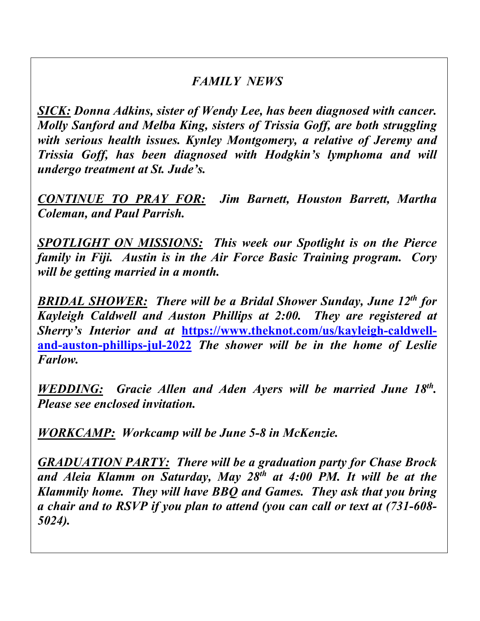# *FAMILY NEWS*

 *Molly Sanford and Melba King, sisters of Trissia Goff, are both struggling SICK: Donna Adkins, sister of Wendy Lee, has been diagnosed with cancer. with serious health issues. Kynley Montgomery, a relative of Jeremy and Trissia Goff, has been diagnosed with Hodgkin's lymphoma and will undergo treatment at St. Jude's.*

*CONTINUE TO PRAY FOR: Jim Barnett, Houston Barrett, Martha Coleman, and Paul Parrish.*

*SPOTLIGHT ON MISSIONS: This week our Spotlight is on the Pierce family in Fiji. Austin is in the Air Force Basic Training program. Cory will be getting married in a month.* 

*BRIDAL SHOWER: There will be a Bridal Shower Sunday, June 12th for Kayleigh Caldwell and Auston Phillips at 2:00. They are registered at*  Sherry's Interior and at https://www.theknot.com/us/kayleigh-caldwell**and-auston-phillips-jul-2022** *The shower will be in the home of Leslie Farlow.*

*WEDDING: Gracie Allen and Aden Ayers will be married June 18th. Please see enclosed invitation.*

*WORKCAMP: Workcamp will be June 5-8 in McKenzie.* 

*GRADUATION PARTY: There will be a graduation party for Chase Brock and Aleia Klamm on Saturday, May 28th at 4:00 PM. It will be at the Klammily home. They will have BBQ and Games. They ask that you bring a chair and to RSVP if you plan to attend (you can call or text at (731-608- 5024).*